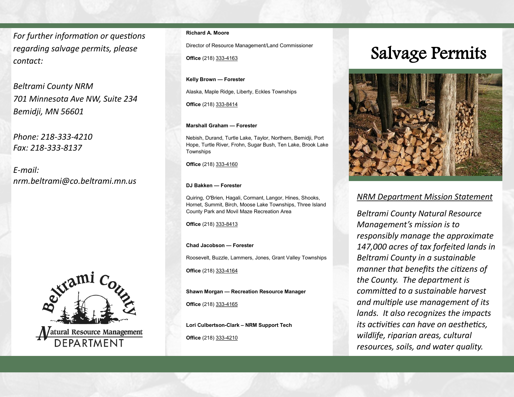*For further information or questions regarding salvage permits, please contact:*

*Beltrami County NRM 701 Minnesota Ave NW, Suite 234 Bemidji, MN 56601*

*Phone: 218-333-4210 Fax: 218-333-8137*

*E-mail: nrm.beltrami@co.beltrami.mn.us*



#### **Richard A. Moore**

Director of Resource Management/Land Commissioner

**Office** (218) 333-4163

**Kelly Brown — Forester** 

Alaska, Maple Ridge, Liberty, Eckles Townships

**Office** (218) 333-8414

#### **Marshall Graham — Forester**

Nebish, Durand, Turtle Lake, Taylor, Northern, Bemidji, Port Hope, Turtle River, Frohn, Sugar Bush, Ten Lake, Brook Lake Townships

**Office** (218) 333-4160

#### **DJ Bakken — Forester**

Quiring, O'Brien, Hagali, Cormant, Langor, Hines, Shooks, Hornet, Summit, Birch, Moose Lake Townships, Three Island County Park and Movil Maze Recreation Area

**Office** (218) 333-8413

#### **Chad Jacobson — Forester**

Roosevelt, Buzzle, Lammers, Jones, Grant Valley Townships

**Office** (218) 333-4164

**Shawn Morgan — Recreation Resource Manager**

**Office** (218) 333-4165

**Lori Culbertson-Clark – NRM Support Tech Office** (218) 333-4210

## Salvage Permits



### *NRM Department Mission Statement*

*Beltrami County Natural Resource Management's mission is to responsibly manage the approximate 147,000 acres of tax forfeited lands in Beltrami County in a sustainable manner that benefits the citizens of the County. The department is committed to a sustainable harvest and multiple use management of its lands. It also recognizes the impacts its activities can have on aesthetics, wildlife, riparian areas, cultural resources, soils, and water quality.*